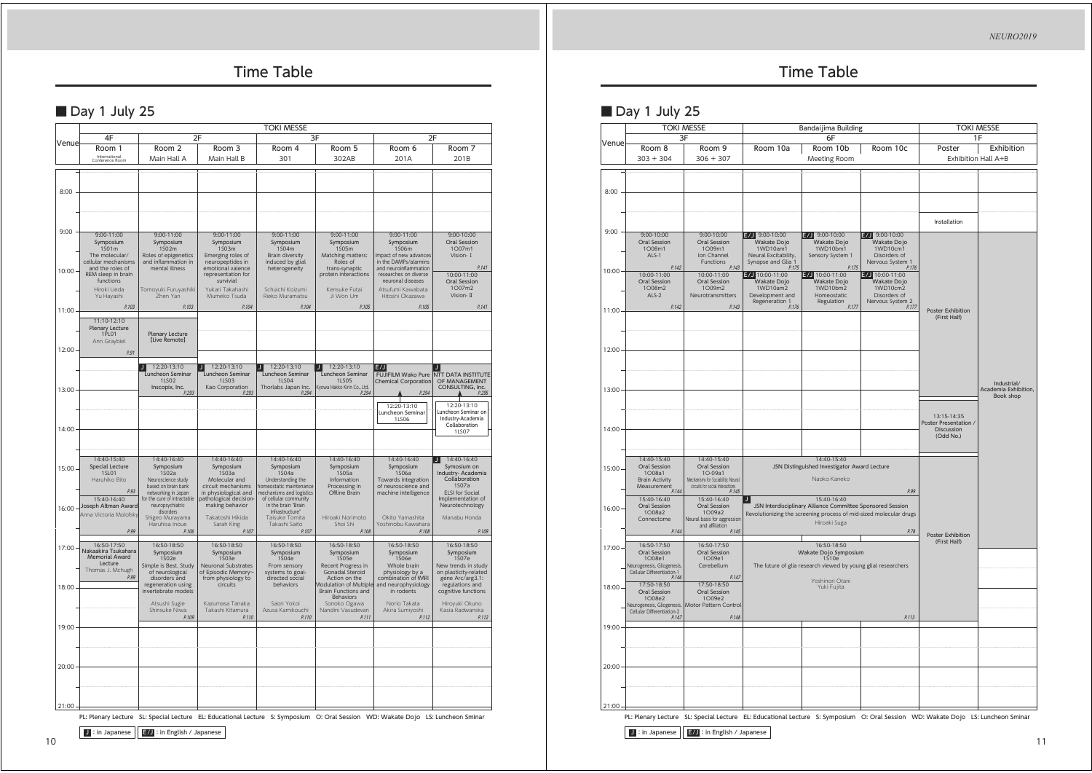*NEURO2019*

## Time Table

### Day 1 July 25

|                | <b>TOKI MESSE</b>                                                                                                    |                                                                                                                                      |                                                                                                                                            |                                                                                                                                        |                                                                                                                       |                                                                                                                                                                         |                                                                                                                                      |  |
|----------------|----------------------------------------------------------------------------------------------------------------------|--------------------------------------------------------------------------------------------------------------------------------------|--------------------------------------------------------------------------------------------------------------------------------------------|----------------------------------------------------------------------------------------------------------------------------------------|-----------------------------------------------------------------------------------------------------------------------|-------------------------------------------------------------------------------------------------------------------------------------------------------------------------|--------------------------------------------------------------------------------------------------------------------------------------|--|
|                | 4F                                                                                                                   | 2F                                                                                                                                   | 3F                                                                                                                                         |                                                                                                                                        |                                                                                                                       | 2F                                                                                                                                                                      |                                                                                                                                      |  |
| Venuel         | Room 1<br>International<br>Conference Room                                                                           | Room <sub>2</sub><br>Main Hall A                                                                                                     | Room <sub>3</sub><br>Main Hall B                                                                                                           | Room 4<br>301                                                                                                                          | Room 5<br>302AB                                                                                                       | Room 6<br>201A                                                                                                                                                          | Room 7<br>201B                                                                                                                       |  |
| 8:00           |                                                                                                                      |                                                                                                                                      |                                                                                                                                            |                                                                                                                                        |                                                                                                                       |                                                                                                                                                                         |                                                                                                                                      |  |
| 9:00           | $9:00 - 11:00$<br>Symposium                                                                                          | $9:00 - 11:00$<br>Symposium                                                                                                          | $9:00 - 11:00$<br>Symposium                                                                                                                | $9:00 - 11:00$<br>Symposium                                                                                                            | $9:00 - 11:00$<br>Symposium                                                                                           | $9:00 - 11:00$<br>Symposium                                                                                                                                             | $9:00 - 10:00$<br>Oral Session                                                                                                       |  |
| 10:00          | 1501m<br>The molecular/<br>cellular mechanisms<br>and the roles of<br>REM sleep in brain<br>functions<br>Hiroki Ueda | 1502m<br>Roles of epigenetics<br>and inflammation in<br>mental illness<br>Tomoyuki Furuyashiki<br>Zhen Yan                           | 1503m<br>Emerging roles of<br>neuropeptides in<br>emotional valence<br>representation for<br>survivial<br>Yukari Takahashi<br>Mumeko Tsuda | 1504m<br><b>Brain diversity</b><br>induced by glial<br>heterogeneity<br>Schuichi Koizumi<br>Rieko Muramatsu                            | 1505m<br>Matching matters:<br>Roles of<br>trans-synaptic<br>protein interactions<br>Kensuke Futai<br>Ji Won Um        | 1S06m<br>Impact of new advances<br>in the DAMPs/alarmins<br>and neuroinflammation<br>researches on diverse<br>neuronal diseases<br>Atsufumi Kawabata<br>Hitoshi Okazawa | 1007m1<br>Vision- I<br>P.141<br>10:00-11:00<br>Oral Session<br>1007m2<br>Vision- II                                                  |  |
|                | Yu Hayashi<br>P.103                                                                                                  | P.103                                                                                                                                | P.104                                                                                                                                      | P.104                                                                                                                                  | P.105                                                                                                                 | P.105                                                                                                                                                                   | P.141                                                                                                                                |  |
| 11:00          | 11:10-12:10<br>Plenary Lecture<br>1PL01<br>Ann Graybiel                                                              | Plenary Lecture<br>[Live Remote]                                                                                                     |                                                                                                                                            |                                                                                                                                        |                                                                                                                       |                                                                                                                                                                         |                                                                                                                                      |  |
| 12:00          | P.91                                                                                                                 |                                                                                                                                      |                                                                                                                                            |                                                                                                                                        |                                                                                                                       |                                                                                                                                                                         |                                                                                                                                      |  |
| 13:00          |                                                                                                                      | 12:20-13:10<br>п<br>Luncheon Seminar<br>11502<br>Inscopix, Inc.<br>P.293                                                             | 12:20-13:10<br>Luncheon Seminar<br>11503<br>Kao Corporation<br>P.293                                                                       | 12:20-13:10<br>J.<br>Luncheon Seminar<br>11504<br>Thorlabs Japan Inc<br>P.294                                                          | 12:20-13:10<br>J.<br>Luncheon Seminar<br><b>1LS05</b><br>Kyowa Hakko Kirin Co., Ltd.<br>P.294                         | E/J<br>Chemical Corporation<br>P.294<br>12:20-13:10<br>Luncheon Seminar<br><b>1LS06</b>                                                                                 | FUJIFILM Wako Pure NTT DATA INSTITUTE<br>OF MANAGEMENT<br>CONSULTING, Inc.<br>12:20-13:10<br>uncheon Seminar on<br>Industry-Academia |  |
| 14:00          |                                                                                                                      |                                                                                                                                      |                                                                                                                                            |                                                                                                                                        |                                                                                                                       |                                                                                                                                                                         | Collaboration<br><b>1LS07</b>                                                                                                        |  |
| 15:00          | 14:40-15:40<br><b>Special Lecture</b><br><b>1SL01</b><br>Haruhiko Bito<br>P.93<br>15:40-16:40                        | 14:40-16:40<br>Symposium<br>1502a<br>Neuroscience study<br>based on brain bank<br>networking in Japan<br>for the cure of intractable | 14:40-16:40<br>Symposium<br>1503a<br>Molecular and<br>circuit mechanisms<br>in physiological and<br>pathological decision-                 | 14:40-16:40<br>Symposium<br>1504a<br>Understanding the<br>homeostatic maintenance<br>mechanisms and logistics<br>of cellular community | 14:40-16:40<br>Symposium<br>1505a<br>Information<br>Processing in<br>Offline Brain                                    | 14:40-16:40<br>Symposium<br>1506a<br>Towards integration<br>of neuroscience and<br>machine intelligence                                                                 | 14:40-16:40<br>Л<br>Symosium on<br>Industry- Academia<br>Collaboration<br>1507a<br>ELSI for Social<br>Implementation of              |  |
| 16:00.         | Joseph Altman Award<br>Anna Victoria Molofsky<br>P.99                                                                | neuropsychiatric<br>disorders<br>Shigeo Murayama<br>Haruhisa Inoue<br>P.106                                                          | making behavior<br>Takatoshi Hikida<br>Sarah King<br>P.107                                                                                 | in the brain "Brain<br>Infrastructure"<br>Taisuke Tomita<br>Takashi Saito<br>P.107                                                     | Hiroaki Norimoto<br>Shoi Shi<br>P.108                                                                                 | Okito Yamashita<br>Yoshinobu Kawahara<br>P.108                                                                                                                          | Neurotechnology<br>Manabu Honda<br>P.109                                                                                             |  |
| 17:00<br>18:00 | 16:50-17:50<br>Nakaakira Tsukahara<br>Memorial Award<br>Lecture<br>Thomas J. Mchugh<br>P.99                          | 16:50-18:50<br>Symposium<br>1S02e<br>Simple is Best. Study<br>of neurological<br>disorders and<br>regeneration using                 | 16:50-18:50<br>Symposium<br>1S03e<br>Neuronal Substrates<br>of Episodic Memory-<br>from physiology to<br>circuits                          | 16:50-18:50<br>Symposium<br>1S04e<br>From sensory<br>systems to goal-<br>directed social<br>behaviors                                  | 16:50-18:50<br>Symposium<br>1S05e<br>Recent Progress in<br>Gonadal Steroid<br>Action on the<br>Modulation of Multiple | 16:50-18:50<br>Symposium<br>1S06e<br>Whole brain<br>physiology by a<br>combination of fMRI<br>and neurophysiology                                                       | 16:50-18:50<br>Symposium<br>1507e<br>New trends in study<br>on plasticity-related<br>gene Arc/arg3.1:<br>regulations and             |  |
|                |                                                                                                                      | invertebrate models<br>Atsushi Sugie<br>Shinsuke Niwa<br>P.109                                                                       | Kazumasa Tanaka<br>Takashi Kitamura<br>P.110                                                                                               | Saori Yokoi<br>Azusa Kamikouchi<br>P.110                                                                                               | Brain Functions and<br><b>Behaviors</b><br>Sonoko Ogawa<br>Nandini Vasudevan<br>P.111                                 | in rodents<br>Norio Takata<br>Akira Sumiyoshi<br>P.112                                                                                                                  | cognitive functions<br>Hiroyuki Okuno<br>Kasia Radwanska<br>P.112                                                                    |  |
| 19:00          |                                                                                                                      |                                                                                                                                      |                                                                                                                                            |                                                                                                                                        |                                                                                                                       |                                                                                                                                                                         |                                                                                                                                      |  |
| 20:00          |                                                                                                                      |                                                                                                                                      |                                                                                                                                            |                                                                                                                                        |                                                                                                                       |                                                                                                                                                                         |                                                                                                                                      |  |
| 21:00          |                                                                                                                      |                                                                                                                                      |                                                                                                                                            |                                                                                                                                        |                                                                                                                       |                                                                                                                                                                         |                                                                                                                                      |  |

PL: Plenary Lecture SL: Special Lecture EL: Educational Lecture S: Symposium O: Oral Session WD: Wakate Dojo LS: Luncheon Sminar

**J** : in Japanese **E/J** : in English / Japanese

## Time Table

### Day 1 July 25

|                | <b>TOKI MESSE</b><br>3F                                                                                    |                                                                                                                           | Bandaijima Building<br>6F                                                                                      |                                                                                                                                                                 |                                                                                           | <b>TOKI MESSE</b><br>1F                                                |                                                  |
|----------------|------------------------------------------------------------------------------------------------------------|---------------------------------------------------------------------------------------------------------------------------|----------------------------------------------------------------------------------------------------------------|-----------------------------------------------------------------------------------------------------------------------------------------------------------------|-------------------------------------------------------------------------------------------|------------------------------------------------------------------------|--------------------------------------------------|
| Venue          | Room 8<br>$303 + 304$                                                                                      | Room 9<br>$306 + 307$                                                                                                     | Room 10a                                                                                                       | Room 10b<br>Meeting Room                                                                                                                                        | Room 10c                                                                                  | Poster<br>Exhibition Hall A+B                                          | Exhibition                                       |
| 8:00           |                                                                                                            |                                                                                                                           |                                                                                                                |                                                                                                                                                                 |                                                                                           |                                                                        |                                                  |
|                |                                                                                                            |                                                                                                                           |                                                                                                                |                                                                                                                                                                 |                                                                                           | Installation                                                           |                                                  |
| 9:00           | 9:00-10:00<br><b>Oral Session</b><br>1O08m1<br>ALS-1                                                       | $9:00 - 10:00$<br>Oral Session<br>1O09m1<br>Ion Channel<br>Functions                                                      | E/J 9:00-10:00<br>Wakate Dojo<br>1WD10am1<br>Neural Excitability.<br>Synapse and Glia 1                        | $E/J$ 9:00-10:00<br>Wakate Dojo<br>1WD10bm1<br>Sensory System 1                                                                                                 | $2/3$ 9:00-10:00<br>Wakate Dojo<br>1WD10cm1<br>Disorders of<br>Nervous System 1           |                                                                        |                                                  |
| 10:00          | P.142<br>10:00-11:00<br>Oral Session<br>1O08m2<br>ALS-2                                                    | P.143<br>10:00-11:00<br>Oral Session<br>1O09m2<br>Neurotransmitters                                                       | P.175<br>$E/J$ 10:00-11:00<br>Wakate Dojo<br>1WD10am2<br>Development and<br>Regeneration 1                     | P.175<br>$E/J$ 10:00-11:00<br>Wakate Dojo<br>1WD10bm2<br>Homeostatic<br>Regulation                                                                              | P.176<br>$E/J$ 10:00-11:00<br>Wakate Dojo<br>1WD10cm2<br>Disorders of<br>Nervous System 2 |                                                                        |                                                  |
| 11:00          | P.142                                                                                                      | P.143                                                                                                                     | P.176                                                                                                          | P.177                                                                                                                                                           | P.177                                                                                     | Poster Exhibition<br>(First Half)                                      |                                                  |
| 12:00          |                                                                                                            |                                                                                                                           |                                                                                                                |                                                                                                                                                                 |                                                                                           |                                                                        |                                                  |
| 13:00          |                                                                                                            |                                                                                                                           |                                                                                                                |                                                                                                                                                                 |                                                                                           |                                                                        | Industrial/<br>Academia Exhibition,<br>Book shop |
| 14:00          |                                                                                                            |                                                                                                                           |                                                                                                                |                                                                                                                                                                 |                                                                                           | 13:15-14:35<br>Poster Presentation /<br><b>Discussion</b><br>(Odd No.) |                                                  |
| 15:00          | 14:40-15:40<br><b>Oral Session</b><br>1O08a1<br><b>Brain Activity</b><br>Measurement<br>P.144              | 14:40-15:40<br>Oral Session<br>1O-09a1<br>Mechanisms for Sociability: Neural<br>circuits for social interactions<br>P.145 |                                                                                                                | 14:40-15:40<br>JSN Distinguished Investigator Award Lecture<br>Naoko Kaneko                                                                                     | P.99                                                                                      |                                                                        |                                                  |
| 16:00          | 15:40-16:40<br><b>Oral Session</b><br>1008a2<br>Connectome<br>P.144                                        | 15:40-16:40<br>Oral Session<br>1O09a2<br>Neural basis for aggression<br>and affiliation<br>P.145                          | J                                                                                                              | 15:40-16:40<br>JSN Interdisciplinary Alliance Committee Sponsored Session<br>Revolutionizing the screening process of mid-sized molecular drugs<br>Hiroaki Suga | P.78                                                                                      | Poster Exhibition                                                      |                                                  |
| 17:00          | 16:50-17:50<br>Oral Session<br>1008e1<br>Neurogenesis, Gliogenesis,<br>Cellular Differentiation-1<br>P.146 | 16:50-17:50<br><b>Oral Session</b><br>1009e1<br>Cerebellum<br>P.147                                                       | 16:50-18:50<br>Wakate Dojo Symposium<br>1510e<br>The future of glia research viewed by young glial researchers |                                                                                                                                                                 | (First Half)                                                                              |                                                                        |                                                  |
| 18:00          | 17:50-18:50<br>Oral Session<br>1008e2<br>Cellular Differentiation-2                                        | 17:50-18:50<br>Oral Session<br>1009e2<br>Neurogenesis, Gliogenesis, Motor Pattern Control                                 |                                                                                                                | Yoshinori Otani<br>Yuki Fujita                                                                                                                                  |                                                                                           |                                                                        |                                                  |
| 19:00          | P.147                                                                                                      | P.148                                                                                                                     |                                                                                                                |                                                                                                                                                                 | P.113                                                                                     |                                                                        |                                                  |
|                |                                                                                                            |                                                                                                                           |                                                                                                                |                                                                                                                                                                 |                                                                                           |                                                                        |                                                  |
| 20:00<br>21:00 |                                                                                                            |                                                                                                                           |                                                                                                                |                                                                                                                                                                 |                                                                                           |                                                                        |                                                  |

PL: Plenary Lecture SL: Special Lecture EL: Educational Lecture S: Symposium O: Oral Session WD: Wakate Dojo LS: Luncheon Sminar

**J** : in Japanese **E/J** : in English / Japanese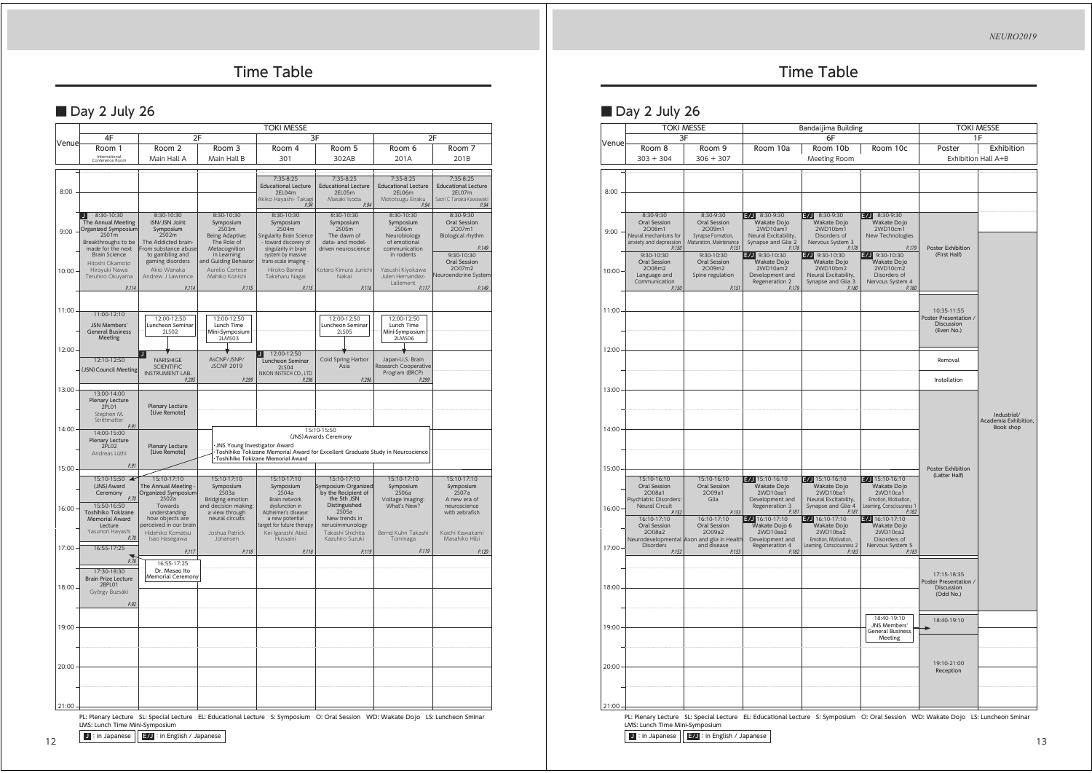*NEURO2019*

# Time Table

## ■ Day 2 July 26

|           | <b>TOKI MESSE</b>                              |                                            |                                                 |                                                                                                                                  |                                      |                                      |                                   |  |
|-----------|------------------------------------------------|--------------------------------------------|-------------------------------------------------|----------------------------------------------------------------------------------------------------------------------------------|--------------------------------------|--------------------------------------|-----------------------------------|--|
| Venue     | 4F                                             | 2F                                         |                                                 |                                                                                                                                  | 3F                                   |                                      | 2F                                |  |
|           | Room 1                                         | Room 2                                     | Room 3                                          | Room 4                                                                                                                           | Room 5                               | Room 6                               | Room 7                            |  |
|           | International<br>Conference Room               | Main Hall A                                | Main Hall B                                     | 301                                                                                                                              | 302AB                                | 201A                                 | 201B                              |  |
|           |                                                |                                            |                                                 | 7:35-8:25                                                                                                                        | 7:35-8:25                            | 7:35-8:25                            | 7:35-8:25                         |  |
|           |                                                |                                            |                                                 | <b>Educational Lecture</b>                                                                                                       | <b>Educational Lecture</b>           | <b>Educational Lecture</b>           | <b>Educational Lecture</b>        |  |
| 8:00      |                                                |                                            |                                                 | 2EL04m<br>Akiko Hayashi- Takagi                                                                                                  | 2EL05m<br>Masaki Isoda               | 2EL06m<br>Mototsugu Eiraku           | 2EL07m<br>Saori C Tanaka-Kawawaki |  |
|           |                                                |                                            |                                                 | P.94                                                                                                                             | P.94                                 | P.94                                 | P.94                              |  |
|           | 8:30-10:30<br>J<br>The Annual Meeting          | 8:30-10:30<br>ISN/JSN Joint                | 8:30-10:30<br>Symposium                         | 8:30-10:30<br>Symposium                                                                                                          | 8:30-10:30<br>Symposium              | 8:30-10:30<br>Symposium              | 8:30-9:30<br>Oral Session         |  |
| 9:00      | Organized Symposium                            | Symposium                                  | 2S03m                                           | 2504m                                                                                                                            | 2S05m                                | 2S06m                                | 2007m1                            |  |
|           | 2501m<br>Breakthroughs to be                   | 2S02m<br>The Addicted brain-               | Being Adaptive:<br>The Role of                  | <b>Singularity Brain Science</b><br>toward discovery of                                                                          | The dawn of<br>data- and model-      | Neurobiology<br>of emotional         | Biological rhythm                 |  |
|           | made for the next<br><b>Brain Science</b>      | From substance abuse<br>to gambling and    | Metacognition<br>in Learning                    | singularity in brain<br>system by massive                                                                                        | driven neuroscience                  | communication<br>in rodents          | P.149<br>9:30-10:30               |  |
|           | Hitoshi Okamoto                                | gaming disorders                           | and Guiding Behavior                            | trans-scale imaging -                                                                                                            |                                      |                                      | Oral Session<br>2007m2            |  |
| 10:00     | Hiroyuki Nawa<br>Teruhiro Okuyama              | Akio Wanaka<br>Andrew J Lawrence           | Aurelio Cortese<br>Mahiko Konishi               | Hiroko Bannai<br>Takeharu Nagai                                                                                                  | Kotaro Kimura Junichi<br>Nakai       | Yasushi Kiyokawa<br>Julen Hernandez- | Neuroendcrine System              |  |
|           | P.114                                          | P.114                                      | P.115                                           | P.115                                                                                                                            | P.116                                | Lallement<br>P <sub>117</sub>        | P.149                             |  |
|           |                                                |                                            |                                                 |                                                                                                                                  |                                      |                                      |                                   |  |
| 11:00     | 11:00-12:10                                    |                                            |                                                 |                                                                                                                                  |                                      |                                      |                                   |  |
|           | JSN Members'                                   | 12:00-12:50<br>Luncheon Seminar            | 12:00-12:50<br>Lunch Time                       |                                                                                                                                  | 12:00-12:50<br>Luncheon Seminar      | 12:00-12:50<br>Lunch Time            |                                   |  |
|           | <b>General Business</b>                        | 2LS02                                      | Mini-Symposium                                  |                                                                                                                                  | 2LS05                                | Mini-Symposium                       |                                   |  |
|           | Meeting                                        |                                            | 2LMS03                                          |                                                                                                                                  |                                      | 2LMS06                               |                                   |  |
| 12:00     | 12:10-12:50                                    | NARISHIGE                                  | AsCNP/JSNP/                                     | 12:00-12:50<br>J.                                                                                                                | Cold Spring Harbor                   | Japan-U.S. Brain                     |                                   |  |
|           | (JSN) Council Meeting                          | <b>SCIENTIFIC</b>                          | <b>JSCNP 2019</b>                               | Luncheon Seminar<br>2LSO4<br>NIKON INSTECH CO., LTD                                                                              | Asia                                 | Research Cooperative                 |                                   |  |
|           |                                                | INSTRUMENT LAB.<br>P.295                   | P.299                                           | P.296                                                                                                                            | P.296                                | Program (BRCP)<br>P.299              |                                   |  |
| 13:00     | 13:00-14:00                                    |                                            |                                                 |                                                                                                                                  |                                      |                                      |                                   |  |
|           | <b>Plenary Lecture</b>                         |                                            |                                                 |                                                                                                                                  |                                      |                                      |                                   |  |
|           | 2PL01<br>Stephen M.                            | <b>Plenary Lecture</b><br>[Live Remote]    |                                                 |                                                                                                                                  |                                      |                                      |                                   |  |
|           | Strittmatter<br>P.91                           |                                            |                                                 |                                                                                                                                  |                                      |                                      |                                   |  |
| 14:00     | 14:00-15:00<br>Plenary Lecture                 |                                            |                                                 |                                                                                                                                  | 15:10-15:50<br>(JNS) Awards Ceremony |                                      |                                   |  |
|           | <b>2PL02</b>                                   | Plenary Lecture<br>[Live Remote]           | JNS Young Investigator Award                    | Toshihiko Tokizane Memorial Award for Excellent Graduate Study in Neuroscience                                                   |                                      |                                      |                                   |  |
|           | Andreas Lüthi                                  |                                            |                                                 | Toshihiko Tokizane Memorial Award                                                                                                |                                      |                                      |                                   |  |
| 15:00     | P.91                                           |                                            |                                                 |                                                                                                                                  |                                      |                                      |                                   |  |
|           | 15:10-15:50<br>$\blacktriangle$<br>(JNS) Award | 15:10-17:10<br>The Annual Meeting          | 15:10-17:10<br>Symposium                        | 15:10-17:10<br>Symposium                                                                                                         | 15:10-17:10<br>Symposium Organized   | 15:10-17:10<br>Symposium             | 15:10-17:10<br>Symposium          |  |
|           | Ceremony<br>P.70                               | Organized Symposium                        | 2503a                                           | 2504a                                                                                                                            | by the Recipient of                  | 2506a                                | 2507a                             |  |
| 16:00     | 15:50-16:50                                    | 2S02a<br>Towards                           | <b>Bridging emotion</b><br>and decision making: | Brain network<br>dysfunction in                                                                                                  | the 5th JSN<br>Distinguished         | Voltage imaging:<br>What's New?      | A new era of<br>neuroscience      |  |
|           | Toshihiko Tokizane<br><b>Memorial Award</b>    | understanding<br>how objects are           | a view through<br>neural circuits               | Alzheimer's disease:<br>a new potential                                                                                          | 2505a<br>New trends in               |                                      | with zebrafish                    |  |
|           | Lecture<br>Yasunori Hayashi                    | perceived in our brain<br>Hidehiko Komatsu | Joshua Patrick                                  | target for future therapy<br>Kei Igarashi Abid                                                                                   | neruoimmunology<br>Takashi Shichita  | Bernd Kuhn Takashi                   | Koichi Kawakami                   |  |
|           | P.70                                           | Isao Hasegawa                              | Johansen                                        | Hussaini                                                                                                                         | Kazuhiro Suzuki                      | Tominaga                             | Masahiko Hibi                     |  |
| 17:00     | 16:55-17:25                                    | P.117                                      | P.118                                           | P.118                                                                                                                            | P.119                                | P.119                                | P.120                             |  |
|           | P.78                                           | 16:55-17:25                                |                                                 |                                                                                                                                  |                                      |                                      |                                   |  |
|           | 17:30-18:30<br><b>Brain Prize Lecture</b>      | Dr. Masao Ito<br>Memorial Ceremony         |                                                 |                                                                                                                                  |                                      |                                      |                                   |  |
| $18:00 -$ | 2BPL01                                         |                                            |                                                 |                                                                                                                                  |                                      |                                      |                                   |  |
|           | György Buzsáki<br>P.92                         |                                            |                                                 |                                                                                                                                  |                                      |                                      |                                   |  |
|           |                                                |                                            |                                                 |                                                                                                                                  |                                      |                                      |                                   |  |
| 19:00     |                                                |                                            |                                                 |                                                                                                                                  |                                      |                                      |                                   |  |
|           |                                                |                                            |                                                 |                                                                                                                                  |                                      |                                      |                                   |  |
|           |                                                |                                            |                                                 |                                                                                                                                  |                                      |                                      |                                   |  |
|           |                                                |                                            |                                                 |                                                                                                                                  |                                      |                                      |                                   |  |
| 20:00     |                                                |                                            |                                                 |                                                                                                                                  |                                      |                                      |                                   |  |
|           |                                                |                                            |                                                 |                                                                                                                                  |                                      |                                      |                                   |  |
|           |                                                |                                            |                                                 |                                                                                                                                  |                                      |                                      |                                   |  |
| 21:00     |                                                |                                            |                                                 |                                                                                                                                  |                                      |                                      |                                   |  |
|           |                                                |                                            |                                                 | PL: Plenary Lecture SL: Special Lecture EL: Educational Lecture S: Symposium O: Oral Session WD: Wakate Dojo LS: Luncheon Sminar |                                      |                                      |                                   |  |
|           | LMS: Lunch Time Mini-Symposium                 |                                            |                                                 |                                                                                                                                  |                                      |                                      |                                   |  |

#### J :in Japanese E/J :in English / Japanese

12

# Time Table

# ■ Day 2 July 26

|       | <b>TOKI MESSE</b><br>3F                                                                                |                                                                                               | Bandaijima Building<br>6F                                                                         |                                                                                                               |                                                                                          | <b>TOKI MESSE</b><br>1F                                          |                                   |
|-------|--------------------------------------------------------------------------------------------------------|-----------------------------------------------------------------------------------------------|---------------------------------------------------------------------------------------------------|---------------------------------------------------------------------------------------------------------------|------------------------------------------------------------------------------------------|------------------------------------------------------------------|-----------------------------------|
| Venue | Room 8                                                                                                 | Room 9                                                                                        | Room 10a                                                                                          | Room 10b                                                                                                      | Room 10c                                                                                 | Poster                                                           | Exhibition                        |
|       | $303 + 304$                                                                                            | $306 + 307$                                                                                   |                                                                                                   | Meeting Room                                                                                                  |                                                                                          | Exhibition Hall A+B                                              |                                   |
|       |                                                                                                        |                                                                                               |                                                                                                   |                                                                                                               |                                                                                          |                                                                  |                                   |
| 8:00  |                                                                                                        |                                                                                               |                                                                                                   |                                                                                                               |                                                                                          |                                                                  |                                   |
|       |                                                                                                        |                                                                                               |                                                                                                   |                                                                                                               |                                                                                          |                                                                  |                                   |
| 9:00  | 8:30-9:30<br><b>Oral Session</b><br>2008m1<br>Neural mechanisms for<br>anxiety and depression<br>P.150 | 8:30-9:30<br>Oral Session<br>2009m1<br>Synapse Formation,<br>Maturation, Maintenance<br>P.151 | $E/J$ 8:30-9:30<br>Wakate Dojo<br>2WD10am1<br>Neural Excitability.<br>Synapse and Glia 2<br>P.178 | 8:30-9:30<br>E/JI<br>Wakate Dojo<br>2WD10bm1<br>Disorders of<br>Nervous System 3<br>P.178                     | $E/J$ 8:30-9:30<br>Wakate Dojo<br>2WD10cm1<br>New Technologies<br>P.179                  | Poster Exhibition                                                |                                   |
| 10:00 | 9:30-10:30<br>Oral Session<br>2008m2<br>Language and<br>Communication<br>P.150                         | 9:30-10:30<br>Oral Session<br>2009m2<br>Spine regulation<br>P.151                             | $E/J$ 9:30-10:30<br>Wakate Dojo<br>2WD10am2<br>Development and<br>Regeneration 2<br>P.179         | $E/J$ 9:30-10:30<br>Wakate Dojo<br>2WD10bm2<br>Neural Excitability.<br>Synapse and Glia <sup>3</sup><br>P.180 | $E/J$ 9:30-10:30<br>Wakate Dojo<br>2WD10cm2<br>Disorders of<br>Nervous System 4<br>P.180 | (First Half)                                                     |                                   |
|       |                                                                                                        |                                                                                               |                                                                                                   |                                                                                                               |                                                                                          |                                                                  |                                   |
| 11:00 |                                                                                                        |                                                                                               |                                                                                                   |                                                                                                               |                                                                                          | 10:35-11:55<br>Poster Presentation /<br>Discussion<br>(Even No.) |                                   |
| 12:00 |                                                                                                        |                                                                                               |                                                                                                   |                                                                                                               |                                                                                          | Removal                                                          |                                   |
|       |                                                                                                        |                                                                                               |                                                                                                   |                                                                                                               |                                                                                          | Installation                                                     |                                   |
| 13:00 |                                                                                                        |                                                                                               |                                                                                                   |                                                                                                               |                                                                                          |                                                                  |                                   |
|       |                                                                                                        |                                                                                               |                                                                                                   |                                                                                                               |                                                                                          |                                                                  | Industrial/                       |
| 14:00 |                                                                                                        |                                                                                               |                                                                                                   |                                                                                                               |                                                                                          |                                                                  | Academia Exhibition,<br>Book shop |
|       |                                                                                                        |                                                                                               |                                                                                                   |                                                                                                               |                                                                                          |                                                                  |                                   |
| 15:00 |                                                                                                        |                                                                                               |                                                                                                   |                                                                                                               |                                                                                          | <b>Poster Exhibition</b>                                         |                                   |
|       | 15:10-16:10<br>Oral Session<br>2008a1<br>Psychiatric Disorders:                                        | 15:10-16:10<br>Oral Session<br>2009a1<br>Glia                                                 | $7/15:10-16:10$<br>.<br>Wakate Dojo<br>2WD10aa1<br>Development and                                | $7J$ 15:10-16:10<br>.<br>Wakate Dojo<br>2WD10ba1<br>Neural Excitability.                                      | E/J 15:10-16:10<br>Wakate Dojo<br>2WD10ca1<br>Emotion, Motivation,                       | (Latter Half)                                                    |                                   |
| 16:00 | Neural Circuit<br>P.152<br>16:10-17:10<br>Oral Session<br>2008a2                                       | P.153<br>16:10-17:10<br>Oral Session<br>2009a2                                                | Regeneration 3<br>P.181<br>E/J 16:10-17:10<br>Wakate Dojo 6<br>2WD10aa2                           | Synapse and Glia <sup>4</sup><br>P.181<br>$E/J$ 16:10-17:10<br>Wakate Dojo<br>2WD10ba2                        | Learning, Consciousness 1<br>P.182<br>$E/J$ 16:10-17:10<br>Wakate Dojo<br>2WD10ca2       |                                                                  |                                   |
| 17:00 | <b>Disorders</b><br>P.152                                                                              | Neurodevelopmental Axon and glia in Health<br>and disease<br>P.153                            | Development and<br>Regeneration 4<br>P.182                                                        | Emotion, Motivation,<br>Learning, Consciousness 2<br>P.183                                                    | Disorders of<br>Nervous System 5<br>P.183                                                |                                                                  |                                   |
|       |                                                                                                        |                                                                                               |                                                                                                   |                                                                                                               |                                                                                          | 17:15-18:35                                                      |                                   |
| 18:00 |                                                                                                        |                                                                                               |                                                                                                   |                                                                                                               |                                                                                          | Poster Presentation /<br>Discussion                              |                                   |
|       |                                                                                                        |                                                                                               |                                                                                                   |                                                                                                               |                                                                                          | (Odd No.)                                                        |                                   |
| 19:00 |                                                                                                        |                                                                                               |                                                                                                   |                                                                                                               | 18:40-19:10<br>JNS Members'<br><b>General Business</b>                                   | 18:40-19:10                                                      |                                   |
|       |                                                                                                        |                                                                                               |                                                                                                   |                                                                                                               | Meeting                                                                                  |                                                                  |                                   |
|       |                                                                                                        |                                                                                               |                                                                                                   |                                                                                                               |                                                                                          | 19:10-21:00                                                      |                                   |
| 20:00 |                                                                                                        |                                                                                               |                                                                                                   |                                                                                                               |                                                                                          | Reception                                                        |                                   |
|       |                                                                                                        |                                                                                               |                                                                                                   |                                                                                                               |                                                                                          |                                                                  |                                   |
| 21:00 |                                                                                                        |                                                                                               |                                                                                                   |                                                                                                               |                                                                                          |                                                                  |                                   |

Poral Lecture S: Symposium O: Oral Session WD: Wakate Dojo LS: Luncheon Sminar LMS: Lunch Time Mini-Symposium

J: in Japanese || E/J: in English / Japanese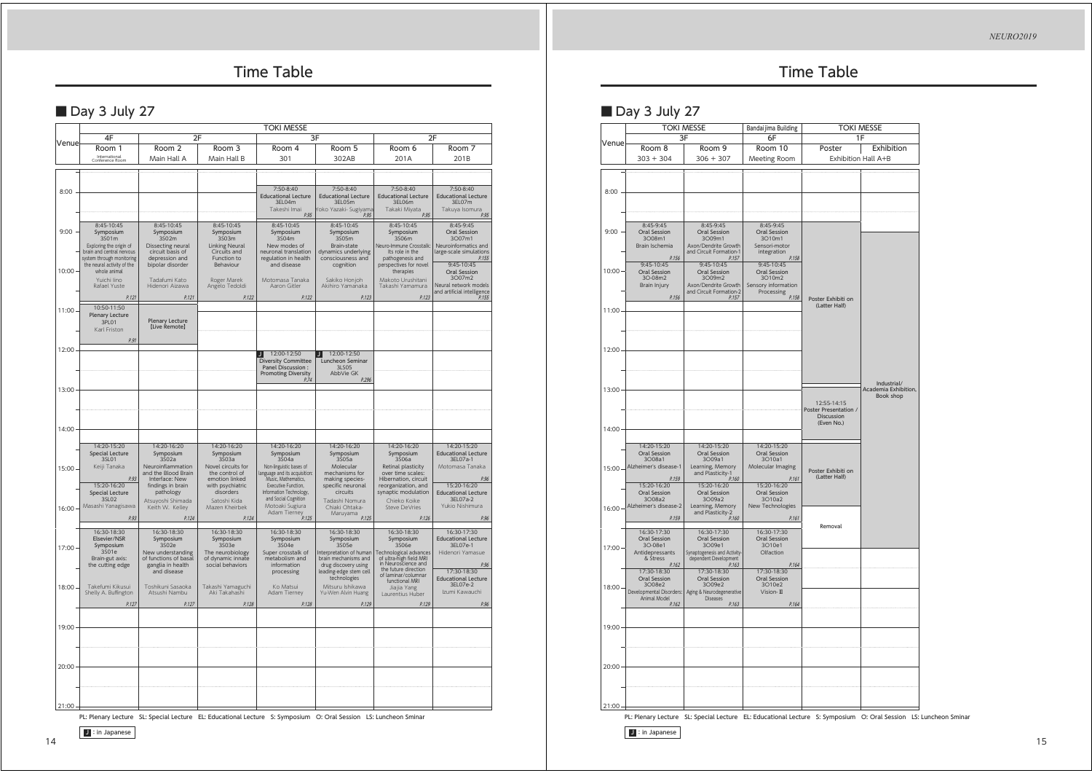## Time Table

## ■ Day 3 July 27

|       | <b>TOKI MESSE</b>                                                                                                                                   |                                                                                                                                   |                                                                                                                              |                                                                                                                                                                        |                                                                                                                                                        |                                                                                                                                                              |                                                                                                                                |  |
|-------|-----------------------------------------------------------------------------------------------------------------------------------------------------|-----------------------------------------------------------------------------------------------------------------------------------|------------------------------------------------------------------------------------------------------------------------------|------------------------------------------------------------------------------------------------------------------------------------------------------------------------|--------------------------------------------------------------------------------------------------------------------------------------------------------|--------------------------------------------------------------------------------------------------------------------------------------------------------------|--------------------------------------------------------------------------------------------------------------------------------|--|
| Venue | 4F<br>2F                                                                                                                                            |                                                                                                                                   |                                                                                                                              |                                                                                                                                                                        | 3F                                                                                                                                                     | 2F                                                                                                                                                           |                                                                                                                                |  |
|       | Room 1<br>International<br>Conference Room                                                                                                          | Room 2<br>Main Hall A                                                                                                             | Room 3<br>Main Hall B                                                                                                        | Room 4<br>301                                                                                                                                                          | Room 5<br>302AB                                                                                                                                        | Room 6<br>201A                                                                                                                                               | Room 7<br>201B                                                                                                                 |  |
|       |                                                                                                                                                     |                                                                                                                                   |                                                                                                                              |                                                                                                                                                                        |                                                                                                                                                        |                                                                                                                                                              |                                                                                                                                |  |
| 8:00  |                                                                                                                                                     |                                                                                                                                   |                                                                                                                              | 7:50-8:40<br><b>Educational Lecture</b><br>3EL04m<br>Takeshi Imai<br>P.95                                                                                              | 7:50-8:40<br><b>Educational Lecture</b><br>3EL05m<br>roko Yazaki- Sugiyama<br>P.95                                                                     | 7:50-8:40<br><b>Educational Lecture</b><br>3EL06m<br>Takaki Miyata<br>P.95                                                                                   | 7:50-8:40<br><b>Educational Lecture</b><br>3EL07m<br>Takuya Isomura<br>P.95                                                    |  |
| 9:00  | 8:45-10:45<br>Symposium<br>3S01m<br>Exploring the origin of<br>brain and central nervous<br>system through monitoring<br>the neural activity of the | 8:45-10:45<br>Symposium<br>3502m<br>Dissecting neural<br>circuit basis of<br>depression and<br>bipolar disorder                   | 8:45-10:45<br>Symposium<br>3503m<br><b>Linking Neural</b><br>Circuits and<br>Function to<br>Behaviour                        | 8:45-10:45<br>Symposium<br>3504m<br>New modes of<br>neuronal translation<br>regulation in health<br>and disease                                                        | 8:45-10:45<br>Symposium<br>3S05m<br>Brain-state<br>dynamics underlying<br>consciousness and                                                            | 8:45-10:45<br>Symposium<br>3S06m<br>Neuro-Immune Crosstalk:<br>Its role in the<br>pathogenesis and<br>perspectives for novel                                 | 8:45-9:45<br>Oral Session<br>3007m1<br>Neuroinformatics and<br>large-scale simulations<br>P.155<br>$9:45-10:45$                |  |
| 10:00 | whole animal<br>Yuichi lino<br>Rafael Yuste                                                                                                         | Tadafumi Kato<br>Hidenori Aizawa                                                                                                  | Roger Marek<br>Angelo Tedoldi                                                                                                | Motomasa Tanaka<br>Aaron Gitler                                                                                                                                        | cognition<br>Sakiko Honjoh<br>Akihiro Yamanaka                                                                                                         | therapies<br>Makoto Urushitani<br>Takashi Yamamura                                                                                                           | Oral Session<br>3007m2<br>Neural network models                                                                                |  |
|       | P.121<br>10:50-11:50                                                                                                                                | P.121                                                                                                                             | P.122                                                                                                                        | P.122                                                                                                                                                                  | P.123                                                                                                                                                  | P.123                                                                                                                                                        | Neural Hechond<br>and artificial intelligence                                                                                  |  |
| 11:00 | <b>Plenary Lecture</b><br>3PL01<br>Karl Friston                                                                                                     | <b>Plenary Lecture</b><br><b>ILive Remotel</b>                                                                                    |                                                                                                                              |                                                                                                                                                                        |                                                                                                                                                        |                                                                                                                                                              |                                                                                                                                |  |
| 12:00 | P.91                                                                                                                                                |                                                                                                                                   |                                                                                                                              |                                                                                                                                                                        |                                                                                                                                                        |                                                                                                                                                              |                                                                                                                                |  |
|       |                                                                                                                                                     |                                                                                                                                   |                                                                                                                              | 12:00-12:50<br>IJ<br>Diversity Committee<br>Panel Discussion:<br><b>Promoting Diversity</b><br>P.74                                                                    | 12:00-12:50<br>IJ<br>Luncheon Seminar<br>3LS05<br>AbbVie GK<br>P.296                                                                                   |                                                                                                                                                              |                                                                                                                                |  |
| 13:00 |                                                                                                                                                     |                                                                                                                                   |                                                                                                                              |                                                                                                                                                                        |                                                                                                                                                        |                                                                                                                                                              |                                                                                                                                |  |
| 14:00 |                                                                                                                                                     |                                                                                                                                   |                                                                                                                              |                                                                                                                                                                        |                                                                                                                                                        |                                                                                                                                                              |                                                                                                                                |  |
| 15:00 | 14:20-15:20<br>Special Lecture<br>35101<br>Keiji Tanaka<br>P.93<br>15:20-16:20                                                                      | 14:20-16:20<br>Symposium<br>3502a<br>Neuroinflammation<br>and the Blood Brain<br>Interface: New<br>findings in brain<br>pathology | 14:20-16:20<br>Symposium<br>3503a<br>Novel circuits for<br>the control of<br>emotion linked<br>with psychiatric<br>disorders | 14:20-16:20<br>Symposium<br>3504a<br>Non-linguistic bases of<br>language and its acquisition:<br>Music, Mathematics,<br>Executive Function,<br>Information Technology, | 14:20-16:20<br>Symposium<br>3\$05a<br>Molecular<br>mechanisms for<br>making species-<br>specific neuronal<br>circuits                                  | 14:20-16:20<br>Symposium<br>3506a<br>Retinal plasticity<br>over time scales:<br>Hibernation, circuit<br>reorganization, and<br>synaptic modulation           | 14:20-15:20<br><b>Educational Lecture</b><br>3EL07a-1<br>Motomasa Tanaka<br>P.96<br>15:20-16:20                                |  |
| 16:00 | Special Lecture<br>3SL02<br>Masashi Yanagisawa<br>P.93                                                                                              | Atsuyoshi Shimada<br>Keith W. Kelley<br>P.124                                                                                     | Satoshi Kida<br>Mazen Kheirbek<br>P.124                                                                                      | and Social Cognition<br>Motoaki Sugiura<br>Adam Tiernev<br>P.125                                                                                                       | Tadashi Nomura<br>Chiaki Ohtaka-<br>Maruyama<br>P.125                                                                                                  | Chieko Koike<br><b>Steve DeVries</b><br>P.126                                                                                                                | <b>Educational Lecture</b><br>3EL07a-2<br>Yukio Nishimura<br>P.96                                                              |  |
| 17:00 | 16:30-18:30<br>Elsevier/NSR<br>Symposium<br>3501e<br>Brain-gut axis:<br>the cutting edge                                                            | 16:30-18:30<br>Symposium<br>3\$02e<br>New understanding<br>of functions of basal<br>ganglia in health<br>and disease              | 16:30-18:30<br>Symposium<br>3503e<br>The neurobiology<br>of dynamic innate<br>social behaviors                               | 16:30-18:30<br>Symposium<br>3504e<br>Super crosstalk of<br>metabolism and<br>information<br>processing                                                                 | 16:30-18:30<br>Symposium<br>3505e<br>Interpretation of human<br>brain mechanisms and<br>drug discovery using<br>leading-edge stem cell<br>technologies | 16:30-18:30<br>Symposium<br>3506e<br>Technological advances<br>of ultra-high field MRI<br>in Neuroscience and<br>the future direction<br>of laminar/columnar | 16:30-17:30<br><b>Educational Lecture</b><br>3EL07e-1<br>Hidenori Yamasue<br>P.96<br>17:30-18:30<br><b>Educational Lecture</b> |  |
| 18:00 | Takefumi Kikusui<br>Shelly A. Buffington                                                                                                            | Toshikuni Sasaoka<br>Atsushi Nambu                                                                                                | Takashi Yamaguchi<br>Aki Takahashi                                                                                           | Ko Matsui<br>Adam Tierney                                                                                                                                              | Mitsuru Ishikawa<br>Yu-Wen Alvin Huang                                                                                                                 | functional MRI<br>Jiajia Yang<br>Laurentius Huber                                                                                                            | 3EL07e-2<br>Izumi Kawauchi                                                                                                     |  |
| 19:00 | P.127                                                                                                                                               | P.127                                                                                                                             | P.128                                                                                                                        | P.128                                                                                                                                                                  | P.129                                                                                                                                                  | P.129                                                                                                                                                        | P.96                                                                                                                           |  |
|       |                                                                                                                                                     |                                                                                                                                   |                                                                                                                              |                                                                                                                                                                        |                                                                                                                                                        |                                                                                                                                                              |                                                                                                                                |  |
| 20:00 |                                                                                                                                                     |                                                                                                                                   |                                                                                                                              |                                                                                                                                                                        |                                                                                                                                                        |                                                                                                                                                              |                                                                                                                                |  |
| 21:00 |                                                                                                                                                     |                                                                                                                                   |                                                                                                                              |                                                                                                                                                                        |                                                                                                                                                        |                                                                                                                                                              |                                                                                                                                |  |

PL: Plenary Lecture SL: Special Lecture EL: Educational Lecture S: Symposium O: Oral Session LS: Luncheon Sminar

**J** : in Japanese

14

## Time Table

### ■ Day 3 July 27

|               |                                                                             | <b>TOKI MESSE</b><br>3F                                                                  | Bandaijima Building<br>6F                                            | <b>TOKI MESSE</b><br>1F              |                                                         |  |
|---------------|-----------------------------------------------------------------------------|------------------------------------------------------------------------------------------|----------------------------------------------------------------------|--------------------------------------|---------------------------------------------------------|--|
| Venue         | Room 8                                                                      | Room 9                                                                                   | Room 10                                                              | Poster                               | Exhibition                                              |  |
|               | $303 + 304$                                                                 | $306 + 307$                                                                              | Meeting Room                                                         |                                      | Exhibition Hall A+B                                     |  |
| 8:00          |                                                                             |                                                                                          |                                                                      |                                      |                                                         |  |
|               |                                                                             |                                                                                          |                                                                      |                                      |                                                         |  |
| 9:00          | 8:45-9:45<br>Oral Session<br>3008m1<br>Brain Ischemia                       | $8:45-9:45$<br>Oral Session<br>3009m1<br>Axon/Dendrite Growth<br>and Circuit Formation-1 | 8:45-9:45<br>Oral Session<br>3O10m1<br>Sensori-motor<br>integration  |                                      |                                                         |  |
| $10:00 \cdot$ | P.156<br>$9:45-10:45$<br>Oral Session<br>3O-08m2<br>Brain Injury            | P.157<br>9:45-10:45<br>Oral Session<br>3O09m2<br>Axon/Dendrite Growth                    | P.158<br>9:45-10:45<br>Oral Session<br>3O10m2<br>Sensory information |                                      |                                                         |  |
| 11:00         | P.156                                                                       | and Circuit Formation-2<br>P.157                                                         | Processing<br>P.158                                                  | Poster Exhibiti on<br>(Latter Half)  |                                                         |  |
| 12:00         |                                                                             |                                                                                          |                                                                      |                                      |                                                         |  |
| $13:00 \cdot$ |                                                                             |                                                                                          |                                                                      | 12:55-14:15<br>Poster Presentation / | Industrial/<br>Academia Exhibition,<br><b>Book shop</b> |  |
| $14:00 \cdot$ |                                                                             |                                                                                          |                                                                      | <b>Discussion</b><br>(Even No.)      |                                                         |  |
| $15:00 -$     | 14:20-15:20<br>Oral Session<br>3008a1<br>Alzheimer's disease-1<br>P.159     | 14:20-15:20<br>Oral Session<br>3O09a1<br>Learning, Memory<br>and Plasticity-1<br>P.160   | 14:20-15:20<br>Oral Session<br>3O10a1<br>Molecular Imaging<br>P.161  | Poster Exhibiti on<br>(Latter Half)  |                                                         |  |
| $16:00 -$     | 15:20-16:20<br>Oral Session<br>3O08a2<br>Alzheimer's disease-2<br>P.159     | 15:20-16:20<br>Oral Session<br>3O09a2<br>Learning, Memory<br>and Plasticity-2<br>P.160   | 15:20-16:20<br>Oral Session<br>3O10a2<br>New Technologies<br>P.161   |                                      |                                                         |  |
| $17:00 -$     | 16:30-17:30<br><b>Oral Session</b><br>3O-08e1<br>Antidepressants            | 16:30-17:30<br><b>Oral Session</b><br>3009e1<br>Synaptogenesis and Activity-             | 16:30-17:30<br>Oral Session<br>3010e1<br>Olfaction                   | Removal                              |                                                         |  |
|               | & Stress<br>P.162<br>17:30-18:30                                            | dependent Development<br>P.163<br>17:30-18:30                                            | P.164<br>17:30-18:30                                                 |                                      |                                                         |  |
| $18:00 -$     | Oral Session<br>3008e2<br>Developmental Disorders:<br>Animal Model<br>P.162 | Oral Session<br>3009e2<br>Aging & Neurodegenerative<br>Diseases<br>P.163                 | Oral Session<br>3O10e2<br>Vision- III<br>P.164                       |                                      |                                                         |  |
| $19:00 -$     |                                                                             |                                                                                          |                                                                      |                                      |                                                         |  |
| $20:00 -$     |                                                                             |                                                                                          |                                                                      |                                      |                                                         |  |
| $21:00 -$     |                                                                             |                                                                                          |                                                                      |                                      |                                                         |  |

PL: Plenary Lecture SL: Special Lecture EL: Educational Lecture S: Symposium O: Oral Session LS: Luncheon Sminar